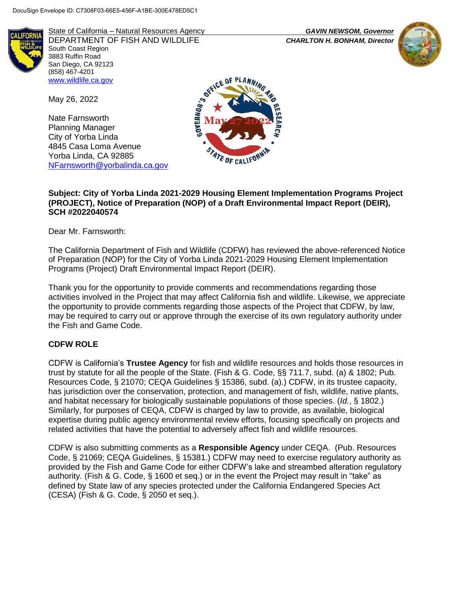

State of California – Natural Resources Agency *GAVIN NEWSOM, Governor* DEPARTMENT OF FISH AND WILDLIFE *CHARLTON H. BONHAM, Director*  South Coast Region 3883 Ruffin Road San Diego, CA 92123 (858) 467-4201 [www.wildlife.ca.gov](http://www.wildlife.ca.gov/)

May 26, 2022

Nate Farnsworth Planning Manager City of Yorba Linda 4845 Casa Loma Avenue Yorba Linda, CA 92885 [NFarnsworth@yorbalinda.ca.gov](mailto:NFarnsworth@yorbalinda.ca.gov)



# **Subject: City of Yorba Linda 2021-2029 Housing Element Implementation Programs Project (PROJECT), Notice of Preparation (NOP) of a Draft Environmental Impact Report (DEIR), SCH #2022040574**

Dear Mr. Farnsworth:

The California Department of Fish and Wildlife (CDFW) has reviewed the above-referenced Notice of Preparation (NOP) for the City of Yorba Linda 2021-2029 Housing Element Implementation Programs (Project) Draft Environmental Impact Report (DEIR).

Thank you for the opportunity to provide comments and recommendations regarding those activities involved in the Project that may affect California fish and wildlife. Likewise, we appreciate the opportunity to provide comments regarding those aspects of the Project that CDFW, by law, may be required to carry out or approve through the exercise of its own regulatory authority under the Fish and Game Code.

# **CDFW ROLE**

CDFW is California's **Trustee Agency** for fish and wildlife resources and holds those resources in trust by statute for all the people of the State. (Fish & G. Code, §§ 711.7, subd. (a) & 1802; Pub. Resources Code, § 21070; CEQA Guidelines § 15386, subd. (a).) CDFW, in its trustee capacity, has jurisdiction over the conservation, protection, and management of fish, wildlife, native plants, and habitat necessary for biologically sustainable populations of those species. (*Id.*, § 1802.) Similarly, for purposes of CEQA, CDFW is charged by law to provide, as available, biological expertise during public agency environmental review efforts, focusing specifically on projects and related activities that have the potential to adversely affect fish and wildlife resources.

CDFW is also submitting comments as a **Responsible Agency** under CEQA. (Pub. Resources Code, § 21069; CEQA Guidelines, § 15381.) CDFW may need to exercise regulatory authority as provided by the Fish and Game Code for either CDFW's lake and streambed alteration regulatory authority. (Fish & G. Code, § 1600 et seq.) or in the event the Project may result in "take" as defined by State law of any species protected under the California Endangered Species Act (CESA) (Fish & G. Code, § 2050 et seq.).

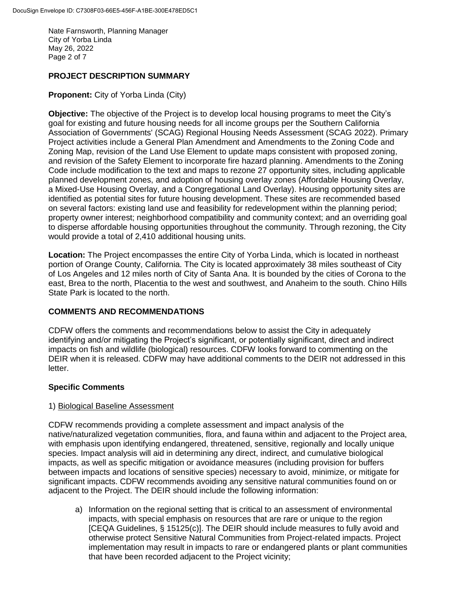Nate Farnsworth, Planning Manager City of Yorba Linda May 26, 2022 Page 2 of 7

# **PROJECT DESCRIPTION SUMMARY**

**Proponent:** City of Yorba Linda (City)

**Objective:** The objective of the Project is to develop local housing programs to meet the City's goal for existing and future housing needs for all income groups per the Southern California Association of Governments' (SCAG) Regional Housing Needs Assessment (SCAG 2022). Primary Project activities include a General Plan Amendment and Amendments to the Zoning Code and Zoning Map, revision of the Land Use Element to update maps consistent with proposed zoning, and revision of the Safety Element to incorporate fire hazard planning. Amendments to the Zoning Code include modification to the text and maps to rezone 27 opportunity sites, including applicable planned development zones, and adoption of housing overlay zones (Affordable Housing Overlay, a Mixed-Use Housing Overlay, and a Congregational Land Overlay). Housing opportunity sites are identified as potential sites for future housing development. These sites are recommended based on several factors: existing land use and feasibility for redevelopment within the planning period; property owner interest; neighborhood compatibility and community context; and an overriding goal to disperse affordable housing opportunities throughout the community. Through rezoning, the City would provide a total of 2,410 additional housing units.

**Location:** The Project encompasses the entire City of Yorba Linda, which is located in northeast portion of Orange County, California. The City is located approximately 38 miles southeast of City of Los Angeles and 12 miles north of City of Santa Ana. It is bounded by the cities of Corona to the east, Brea to the north, Placentia to the west and southwest, and Anaheim to the south. Chino Hills State Park is located to the north.

## **COMMENTS AND RECOMMENDATIONS**

CDFW offers the comments and recommendations below to assist the City in adequately identifying and/or mitigating the Project's significant, or potentially significant, direct and indirect impacts on fish and wildlife (biological) resources. CDFW looks forward to commenting on the DEIR when it is released. CDFW may have additional comments to the DEIR not addressed in this letter.

## **Specific Comments**

## 1) Biological Baseline Assessment

CDFW recommends providing a complete assessment and impact analysis of the native/naturalized vegetation communities, flora, and fauna within and adjacent to the Project area, with emphasis upon identifying endangered, threatened, sensitive, regionally and locally unique species. Impact analysis will aid in determining any direct, indirect, and cumulative biological impacts, as well as specific mitigation or avoidance measures (including provision for buffers between impacts and locations of sensitive species) necessary to avoid, minimize, or mitigate for significant impacts. CDFW recommends avoiding any sensitive natural communities found on or adjacent to the Project. The DEIR should include the following information:

a) Information on the regional setting that is critical to an assessment of environmental impacts, with special emphasis on resources that are rare or unique to the region [CEQA Guidelines, § 15125(c)]. The DEIR should include measures to fully avoid and otherwise protect Sensitive Natural Communities from Project-related impacts. Project implementation may result in impacts to rare or endangered plants or plant communities that have been recorded adjacent to the Project vicinity;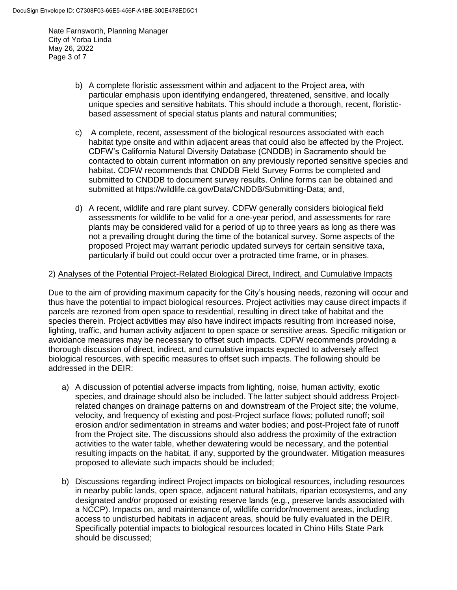Nate Farnsworth, Planning Manager City of Yorba Linda May 26, 2022 Page 3 of 7

- b) A complete floristic assessment within and adjacent to the Project area, with particular emphasis upon identifying endangered, threatened, sensitive, and locally unique species and sensitive habitats. This should include a thorough, recent, floristicbased assessment of special status plants and natural communities;
- c) A complete, recent, assessment of the biological resources associated with each habitat type onsite and within adjacent areas that could also be affected by the Project. CDFW's California Natural Diversity Database (CNDDB) in Sacramento should be contacted to obtain current information on any previously reported sensitive species and habitat. CDFW recommends that CNDDB Field Survey Forms be completed and submitted to CNDDB to document survey results. Online forms can be obtained and submitted at [https://wildlife.ca.gov/Data/CNDDB/Submitting-Data;](https://wildlife.ca.gov/Data/CNDDB/Submitting-Data) and,
- d) A recent, wildlife and rare plant survey. CDFW generally considers biological field assessments for wildlife to be valid for a one-year period, and assessments for rare plants may be considered valid for a period of up to three years as long as there was not a prevailing drought during the time of the botanical survey. Some aspects of the proposed Project may warrant periodic updated surveys for certain sensitive taxa, particularly if build out could occur over a protracted time frame, or in phases.

#### 2) Analyses of the Potential Project-Related Biological Direct, Indirect, and Cumulative Impacts

Due to the aim of providing maximum capacity for the City's housing needs, rezoning will occur and thus have the potential to impact biological resources. Project activities may cause direct impacts if parcels are rezoned from open space to residential, resulting in direct take of habitat and the species therein. Project activities may also have indirect impacts resulting from increased noise, lighting, traffic, and human activity adjacent to open space or sensitive areas. Specific mitigation or avoidance measures may be necessary to offset such impacts. CDFW recommends providing a thorough discussion of direct, indirect, and cumulative impacts expected to adversely affect biological resources, with specific measures to offset such impacts. The following should be addressed in the DEIR:

- a) A discussion of potential adverse impacts from lighting, noise, human activity, exotic species, and drainage should also be included. The latter subject should address Projectrelated changes on drainage patterns on and downstream of the Project site; the volume, velocity, and frequency of existing and post-Project surface flows; polluted runoff; soil erosion and/or sedimentation in streams and water bodies; and post-Project fate of runoff from the Project site. The discussions should also address the proximity of the extraction activities to the water table, whether dewatering would be necessary, and the potential resulting impacts on the habitat, if any, supported by the groundwater. Mitigation measures proposed to alleviate such impacts should be included;
- b) Discussions regarding indirect Project impacts on biological resources, including resources in nearby public lands, open space, adjacent natural habitats, riparian ecosystems, and any designated and/or proposed or existing reserve lands (e.g*.*, preserve lands associated with a NCCP). Impacts on, and maintenance of, wildlife corridor/movement areas, including access to undisturbed habitats in adjacent areas, should be fully evaluated in the DEIR. Specifically potential impacts to biological resources located in Chino Hills State Park should be discussed;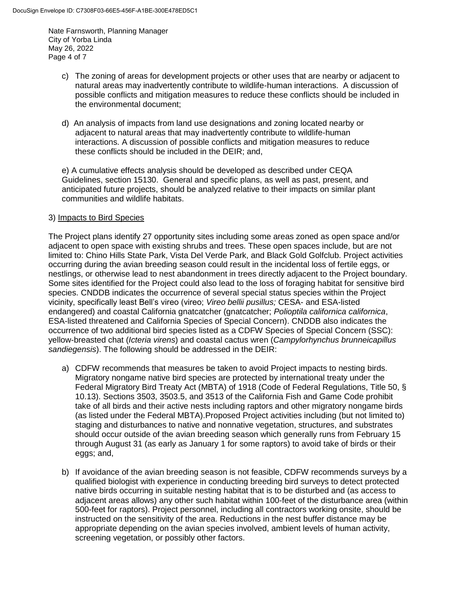Nate Farnsworth, Planning Manager City of Yorba Linda May 26, 2022 Page 4 of 7

- c) The zoning of areas for development projects or other uses that are nearby or adjacent to natural areas may inadvertently contribute to wildlife-human interactions. A discussion of possible conflicts and mitigation measures to reduce these conflicts should be included in the environmental document;
- d) An analysis of impacts from land use designations and zoning located nearby or adjacent to natural areas that may inadvertently contribute to wildlife-human interactions. A discussion of possible conflicts and mitigation measures to reduce these conflicts should be included in the DEIR; and,

e) A cumulative effects analysis should be developed as described under CEQA Guidelines, section 15130. General and specific plans, as well as past, present, and anticipated future projects, should be analyzed relative to their impacts on similar plant communities and wildlife habitats.

# 3) Impacts to Bird Species

The Project plans identify 27 opportunity sites including some areas zoned as open space and/or adjacent to open space with existing shrubs and trees. These open spaces include, but are not limited to: Chino Hills State Park, Vista Del Verde Park, and Black Gold Golfclub. Project activities occurring during the avian breeding season could result in the incidental loss of fertile eggs, or nestlings, or otherwise lead to nest abandonment in trees directly adjacent to the Project boundary. Some sites identified for the Project could also lead to the loss of foraging habitat for sensitive bird species. CNDDB indicates the occurrence of several special status species within the Project vicinity, specifically least Bell's vireo (vireo; *Vireo bellii pusillus;* CESA- and ESA-listed endangered) and coastal California gnatcatcher (gnatcatcher; *Polioptila californica californica*, ESA-listed threatened and California Species of Special Concern). CNDDB also indicates the occurrence of two additional bird species listed as a CDFW Species of Special Concern (SSC): yellow-breasted chat (*Icteria virens*) and coastal cactus wren (*Campylorhynchus brunneicapillus sandiegensis*). The following should be addressed in the DEIR:

- a) CDFW recommends that measures be taken to avoid Project impacts to nesting birds. Migratory nongame native bird species are protected by international treaty under the Federal Migratory Bird Treaty Act (MBTA) of 1918 (Code of Federal Regulations, Title 50, § 10.13). Sections 3503, 3503.5, and 3513 of the California Fish and Game Code prohibit take of all birds and their active nests including raptors and other migratory nongame birds (as listed under the Federal MBTA).Proposed Project activities including (but not limited to) staging and disturbances to native and nonnative vegetation, structures, and substrates should occur outside of the avian breeding season which generally runs from February 15 through August 31 (as early as January 1 for some raptors) to avoid take of birds or their eggs; and,
- b) If avoidance of the avian breeding season is not feasible, CDFW recommends surveys by a qualified biologist with experience in conducting breeding bird surveys to detect protected native birds occurring in suitable nesting habitat that is to be disturbed and (as access to adjacent areas allows) any other such habitat within 100-feet of the disturbance area (within 500-feet for raptors). Project personnel, including all contractors working onsite, should be instructed on the sensitivity of the area. Reductions in the nest buffer distance may be appropriate depending on the avian species involved, ambient levels of human activity, screening vegetation, or possibly other factors.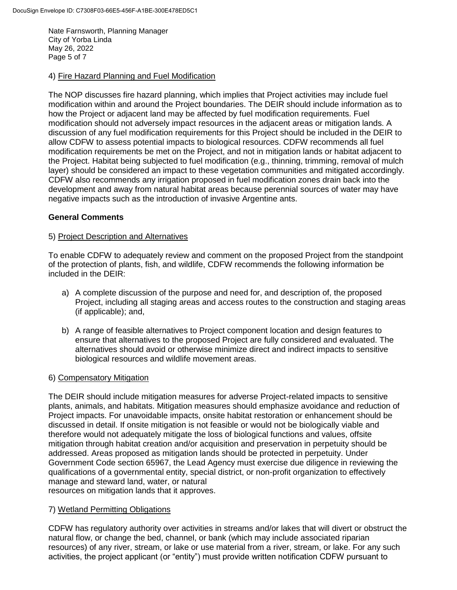Nate Farnsworth, Planning Manager City of Yorba Linda May 26, 2022 Page 5 of 7

#### 4) Fire Hazard Planning and Fuel Modification

The NOP discusses fire hazard planning, which implies that Project activities may include fuel modification within and around the Project boundaries. The DEIR should include information as to how the Project or adjacent land may be affected by fuel modification requirements. Fuel modification should not adversely impact resources in the adjacent areas or mitigation lands. A discussion of any fuel modification requirements for this Project should be included in the DEIR to allow CDFW to assess potential impacts to biological resources. CDFW recommends all fuel modification requirements be met on the Project, and not in mitigation lands or habitat adjacent to the Project. Habitat being subjected to fuel modification (e.g., thinning, trimming, removal of mulch layer) should be considered an impact to these vegetation communities and mitigated accordingly. CDFW also recommends any irrigation proposed in fuel modification zones drain back into the development and away from natural habitat areas because perennial sources of water may have negative impacts such as the introduction of invasive Argentine ants.

## **General Comments**

#### 5) Project Description and Alternatives

To enable CDFW to adequately review and comment on the proposed Project from the standpoint of the protection of plants, fish, and wildlife, CDFW recommends the following information be included in the DEIR:

- a) A complete discussion of the purpose and need for, and description of, the proposed Project, including all staging areas and access routes to the construction and staging areas (if applicable); and,
- b) A range of feasible alternatives to Project component location and design features to ensure that alternatives to the proposed Project are fully considered and evaluated. The alternatives should avoid or otherwise minimize direct and indirect impacts to sensitive biological resources and wildlife movement areas.

#### 6) Compensatory Mitigation

The DEIR should include mitigation measures for adverse Project-related impacts to sensitive plants, animals, and habitats. Mitigation measures should emphasize avoidance and reduction of Project impacts. For unavoidable impacts, onsite habitat restoration or enhancement should be discussed in detail. If onsite mitigation is not feasible or would not be biologically viable and therefore would not adequately mitigate the loss of biological functions and values, offsite mitigation through habitat creation and/or acquisition and preservation in perpetuity should be addressed. Areas proposed as mitigation lands should be protected in perpetuity. Under Government Code section 65967, the Lead Agency must exercise due diligence in reviewing the qualifications of a governmental entity, special district, or non-profit organization to effectively manage and steward land, water, or natural resources on mitigation lands that it approves.

## 7) Wetland Permitting Obligations

CDFW has regulatory authority over activities in streams and/or lakes that will divert or obstruct the natural flow, or change the bed, channel, or bank (which may include associated riparian resources) of any river, stream, or lake or use material from a river, stream, or lake. For any such activities, the project applicant (or "entity") must provide written notification CDFW pursuant to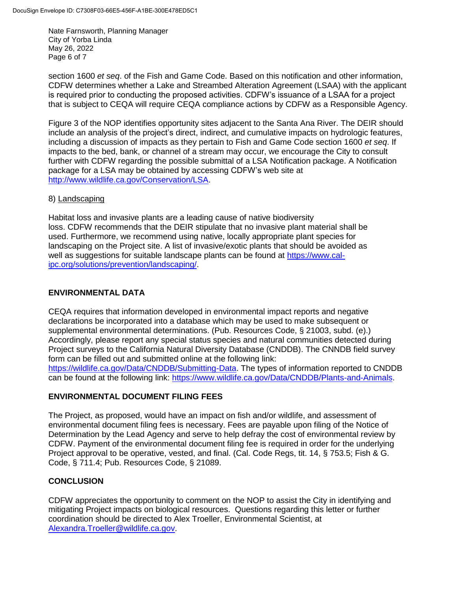Nate Farnsworth, Planning Manager City of Yorba Linda May 26, 2022 Page 6 of 7

section 1600 *et seq*. of the Fish and Game Code. Based on this notification and other information, CDFW determines whether a Lake and Streambed Alteration Agreement (LSAA) with the applicant is required prior to conducting the proposed activities. CDFW's issuance of a LSAA for a project that is subject to CEQA will require CEQA compliance actions by CDFW as a Responsible Agency.

Figure 3 of the NOP identifies opportunity sites adjacent to the Santa Ana River. The DEIR should include an analysis of the project's direct, indirect, and cumulative impacts on hydrologic features, including a discussion of impacts as they pertain to Fish and Game Code section 1600 *et seq*. If impacts to the bed, bank, or channel of a stream may occur, we encourage the City to consult further with CDFW regarding the possible submittal of a LSA Notification package. A Notification package for a LSA may be obtained by accessing CDFW's web site at [http://www.wildlife.ca.gov/Conservation/LSA.](http://www.wildlife.ca.gov/Conservation/LSA)

# 8) Landscaping

Habitat loss and invasive plants are a leading cause of native biodiversity loss. CDFW recommends that the DEIR stipulate that no invasive plant material shall be used. Furthermore, we recommend using native, locally appropriate plant species for landscaping on the Project site. A list of invasive/exotic plants that should be avoided as well as suggestions for suitable landscape plants can be found at [https://www.cal](https://www.cal-ipc.org/solutions/prevention/landscaping/)[ipc.org/solutions/prevention/landscaping/.](https://www.cal-ipc.org/solutions/prevention/landscaping/)

# **ENVIRONMENTAL DATA**

CEQA requires that information developed in environmental impact reports and negative declarations be incorporated into a database which may be used to make subsequent or supplemental environmental determinations. (Pub. Resources Code, § 21003, subd. (e).) Accordingly, please report any special status species and natural communities detected during Project surveys to the California Natural Diversity Database (CNDDB). The CNNDB field survey form can be filled out and submitted online at the following link: [https://wildlife.ca.gov/Data/CNDDB/Submitting-Data.](https://wildlife.ca.gov/Data/CNDDB/Submitting-Data) The types of information reported to CNDDB can be found at the following link: [https://www.wildlife.ca.gov/Data/CNDDB/Plants-and-Animals.](https://www.wildlife.ca.gov/Data/CNDDB/Plants-and-Animals)

## **ENVIRONMENTAL DOCUMENT FILING FEES**

The Project, as proposed, would have an impact on fish and/or wildlife, and assessment of environmental document filing fees is necessary. Fees are payable upon filing of the Notice of Determination by the Lead Agency and serve to help defray the cost of environmental review by CDFW. Payment of the environmental document filing fee is required in order for the underlying Project approval to be operative, vested, and final. (Cal. Code Regs, tit. 14, § 753.5; Fish & G. Code, § 711.4; Pub. Resources Code, § 21089.

## **CONCLUSION**

CDFW appreciates the opportunity to comment on the NOP to assist the City in identifying and mitigating Project impacts on biological resources. Questions regarding this letter or further coordination should be directed to Alex Troeller, Environmental Scientist, at [Alexandra.Troeller@wildlife.ca.gov.](mailto:Alexandra.Troeller@wildlife.ca.gov)